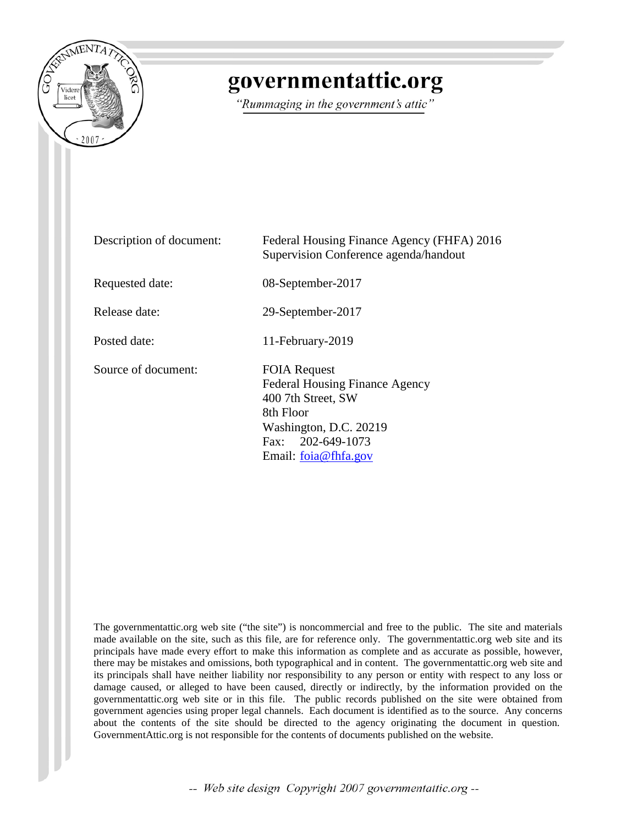

# governmentattic.org

"Rummaging in the government's attic"

| Description of document: | Federal Housing Finance Agency (FHFA) 2016<br>Supervision Conference agenda/handout                                                                                    |
|--------------------------|------------------------------------------------------------------------------------------------------------------------------------------------------------------------|
| Requested date:          | 08-September-2017                                                                                                                                                      |
| Release date:            | 29-September-2017                                                                                                                                                      |
| Posted date:             | 11-February-2019                                                                                                                                                       |
| Source of document:      | <b>FOIA Request</b><br><b>Federal Housing Finance Agency</b><br>400 7th Street, SW<br>8th Floor<br>Washington, D.C. 20219<br>Fax: 202-649-1073<br>Email: foia@fhfa.gov |

The governmentattic.org web site ("the site") is noncommercial and free to the public. The site and materials made available on the site, such as this file, are for reference only. The governmentattic.org web site and its principals have made every effort to make this information as complete and as accurate as possible, however, there may be mistakes and omissions, both typographical and in content. The governmentattic.org web site and its principals shall have neither liability nor responsibility to any person or entity with respect to any loss or damage caused, or alleged to have been caused, directly or indirectly, by the information provided on the governmentattic.org web site or in this file. The public records published on the site were obtained from government agencies using proper legal channels. Each document is identified as to the source. Any concerns about the contents of the site should be directed to the agency originating the document in question. GovernmentAttic.org is not responsible for the contents of documents published on the website.

-- Web site design Copyright 2007 governmentattic.org --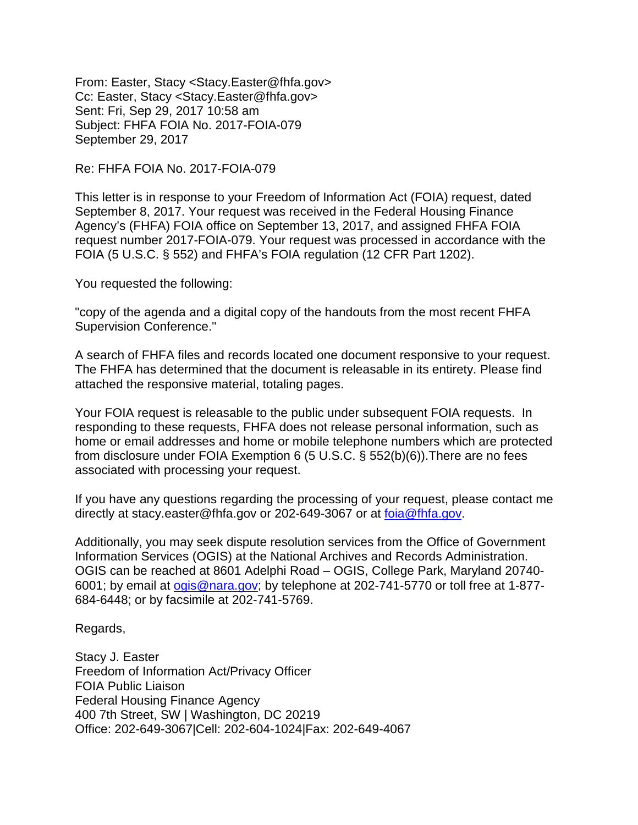From: Easter, Stacy <Stacy.Easter@fhfa.gov> Cc: Easter, Stacy <Stacy.Easter@fhfa.gov> Sent: Fri, Sep 29, 2017 10:58 am Subject: FHFA FOIA No. 2017-FOIA-079 September 29, 2017

Re: FHFA FOIA No. 2017-FOIA-079

This letter is in response to your Freedom of Information Act (FOIA) request, dated September 8, 2017. Your request was received in the Federal Housing Finance Agency's (FHFA) FOIA office on September 13, 2017, and assigned FHFA FOIA request number 2017-FOIA-079. Your request was processed in accordance with the FOIA (5 U.S.C. § 552) and FHFA's FOIA regulation (12 CFR Part 1202).

You requested the following:

"copy of the agenda and a digital copy of the handouts from the most recent FHFA Supervision Conference."

A search of FHFA files and records located one document responsive to your request. The FHFA has determined that the document is releasable in its entirety. Please find attached the responsive material, totaling pages.

Your FOIA request is releasable to the public under subsequent FOIA requests. In responding to these requests, FHFA does not release personal information, such as home or email addresses and home or mobile telephone numbers which are protected from disclosure under FOIA Exemption 6 (5 U.S.C. § 552(b)(6)).There are no fees associated with processing your request.

If you have any questions regarding the processing of your request, please contact me directly at stacy.easter@fhfa.gov or 202-649-3067 or at [foia@fhfa.gov.](mailto:foia@fhfa.gov)

Additionally, you may seek dispute resolution services from the Office of Government Information Services (OGIS) at the National Archives and Records Administration. OGIS can be reached at 8601 Adelphi Road – OGIS, College Park, Maryland 20740- 6001; by email at [ogis@nara.gov;](mailto:ogis@nara.gov) by telephone at 202-741-5770 or toll free at 1-877- 684-6448; or by facsimile at 202-741-5769.

Regards,

Stacy J. Easter Freedom of Information Act/Privacy Officer FOIA Public Liaison Federal Housing Finance Agency 400 7th Street, SW | Washington, DC 20219 Office: 202-649-3067|Cell: 202-604-1024|Fax: 202-649-4067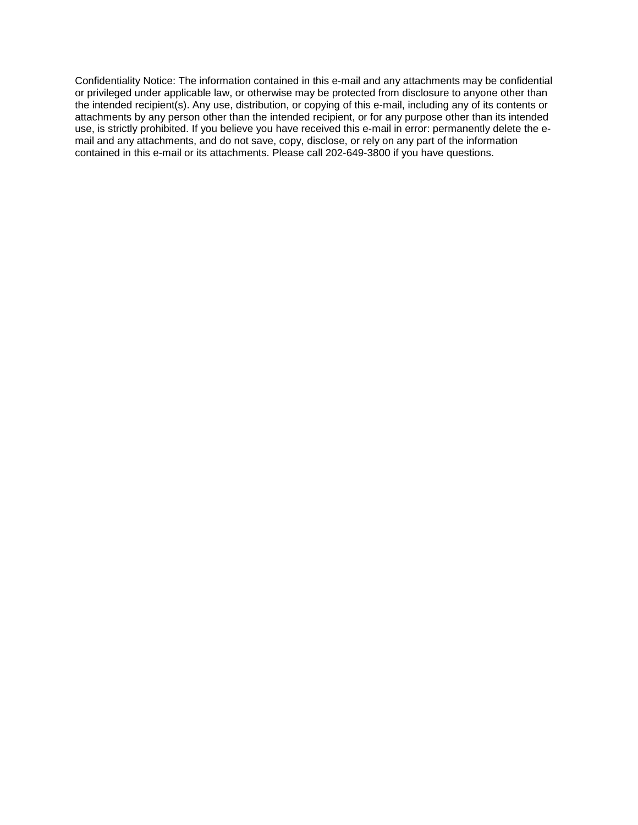Confidentiality Notice: The information contained in this e-mail and any attachments may be confidential or privileged under applicable law, or otherwise may be protected from disclosure to anyone other than the intended recipient(s). Any use, distribution, or copying of this e-mail, including any of its contents or attachments by any person other than the intended recipient, or for any purpose other than its intended use, is strictly prohibited. If you believe you have received this e-mail in error: permanently delete the email and any attachments, and do not save, copy, disclose, or rely on any part of the information contained in this e-mail or its attachments. Please call 202-649-3800 if you have questions.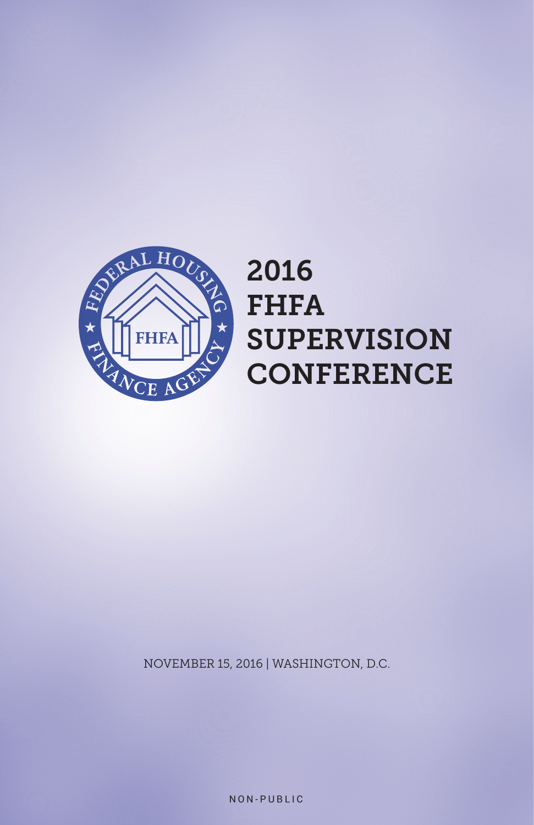

# 2016 FHFA SUPERVISION **CONFERENCE**

NOVEMBER 15, 2016 | WASHINGTON, D.C.

NON-PUBLIC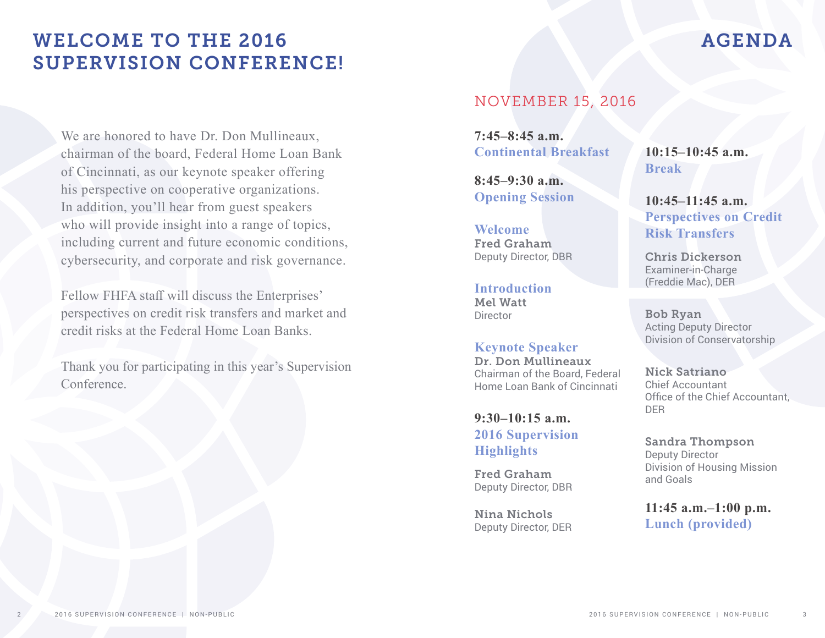## WELCOME TO THE 2016 SUPERVISION CONFERENCE!

We are honored to have Dr. Don Mullineaux, chairman of the board, Federal Home Loan Bank of Cincinnati, as our keynote speaker offering his perspective on cooperative organizations. In addition, you'll hear from guest speakers who will provide insight into a range of topics, including current and future economic conditions, cybersecurity, and corporate and risk governance.

Fellow FHFA staff will discuss the Enterprises' perspectives on credit risk transfers and market and credit risks at the Federal Home Loan Banks.

Thank you for participating in this year's Supervision Conference.

### NOVEMBER 15, 2016

**7:45–8:45 a.m. Continental Breakfast**

**8:45–9:30 a.m. Opening Session**

**Welcome** Fred Graham Deputy Director, DBR

**Introduction** Mel Watt Director

**Keynote Speaker** Dr. Don Mullineaux Chairman of the Board, Federal Home Loan Bank of Cincinnati

**9:30–10:15 a.m. 2016 Supervision Highlights**

Fred Graham Deputy Director, DBR

Nina Nichols Deputy Director, DER **10:15–10:45 a.m. Break**

**10:45–11:45 a.m. Perspectives on Credit Risk Transfers**

Chris Dickerson Examiner-in-Charge (Freddie Mac), DER

Bob Ryan Acting Deputy Director Division of Conservatorship

Nick Satriano Chief Accountant Office of the Chief Accountant, DER

Sandra Thompson Deputy Director Division of Housing Mission and Goals

**11:45 a.m.–1:00 p.m. Lunch (provided)**

### AGENDA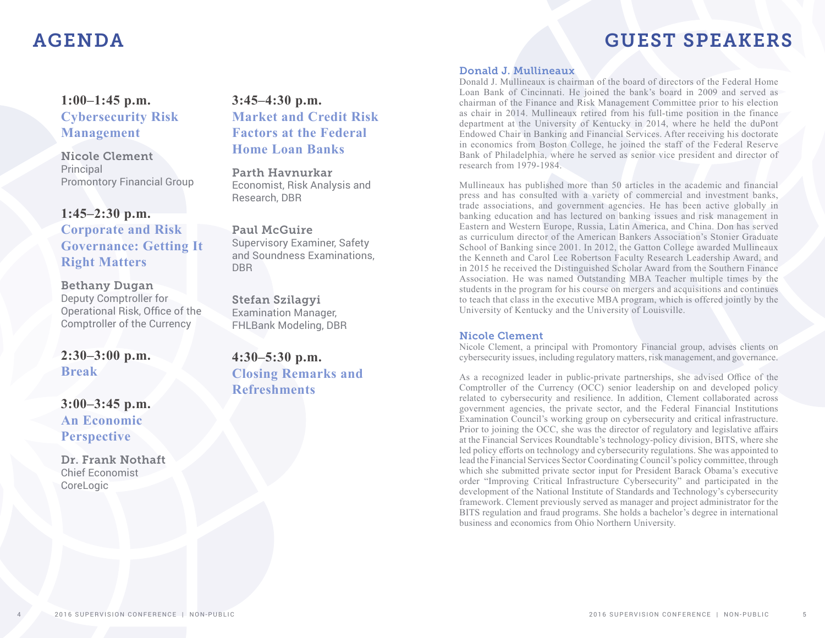### AGENDA

## GUEST SPEAKERS

### **1:00–1:45 p.m. Cybersecurity Risk Management**

Nicole Clement Principal Promontory Financial Group

#### **1:45–2:30 p.m.**

### **Corporate and Risk Governance: Getting It Right Matters**

Bethany Dugan Deputy Comptroller for Operational Risk, Office of the Comptroller of the Currency

### **2:30–3:00 p.m. Break**

**3:00–3:45 p.m. An Economic Perspective**

Dr. Frank Nothaft Chief Economist **CoreLogic** 

### **3:45–4:30 p.m. Market and Credit Risk Factors at the Federal Home Loan Banks**

Parth Havnurkar Economist, Risk Analysis and Research, DBR

Paul McGuire Supervisory Examiner, Safety and Soundness Examinations, DBR

Stefan Szilagyi Examination Manager, FHLBank Modeling, DBR

**4:30–5:30 p.m. Closing Remarks and Refreshments**

#### Donald J. Mullineaux

Donald J. Mullineaux is chairman of the board of directors of the Federal Home Loan Bank of Cincinnati. He joined the bank's board in 2009 and served as chairman of the Finance and Risk Management Committee prior to his election as chair in 2014. Mullineaux retired from his full-time position in the finance department at the University of Kentucky in 2014, where he held the duPont Endowed Chair in Banking and Financial Services. After receiving his doctorate in economics from Boston College, he joined the staff of the Federal Reserve Bank of Philadelphia, where he served as senior vice president and director of research from 1979-1984.

Mullineaux has published more than 50 articles in the academic and financial press and has consulted with a variety of commercial and investment banks, trade associations, and government agencies. He has been active globally in banking education and has lectured on banking issues and risk management in Eastern and Western Europe, Russia, Latin America, and China. Don has served as curriculum director of the American Bankers Association's Stonier Graduate School of Banking since 2001. In 2012, the Gatton College awarded Mullineaux the Kenneth and Carol Lee Robertson Faculty Research Leadership Award, and in 2015 he received the Distinguished Scholar Award from the Southern Finance Association. He was named Outstanding MBA Teacher multiple times by the students in the program for his course on mergers and acquisitions and continues to teach that class in the executive MBA program, which is offered jointly by the University of Kentucky and the University of Louisville.

#### Nicole Clement

Nicole Clement, a principal with Promontory Financial group, advises clients on cybersecurity issues, including regulatory matters, risk management, and governance.

As a recognized leader in public-private partnerships, she advised Office of the Comptroller of the Currency (OCC) senior leadership on and developed policy related to cybersecurity and resilience. In addition, Clement collaborated across government agencies, the private sector, and the Federal Financial Institutions Examination Council's working group on cybersecurity and critical infrastructure. Prior to joining the OCC, she was the director of regulatory and legislative affairs at the Financial Services Roundtable's technology-policy division, BITS, where she led policy efforts on technology and cybersecurity regulations. She was appointed to lead the Financial Services Sector Coordinating Council's policy committee, through which she submitted private sector input for President Barack Obama's executive order "Improving Critical Infrastructure Cybersecurity" and participated in the development of the National Institute of Standards and Technology's cybersecurity framework. Clement previously served as manager and project administrator for the BITS regulation and fraud programs. She holds a bachelor's degree in international business and economics from Ohio Northern University.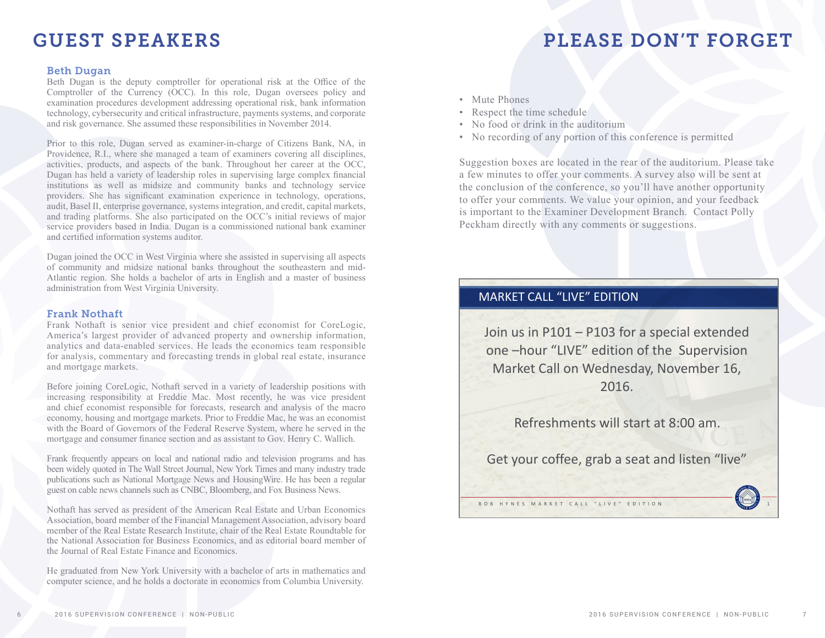## GUEST SPEAKERS

## PLEASE DON'T FORGET

#### Beth Dugan

Beth Dugan is the deputy comptroller for operational risk at the Office of the Comptroller of the Currency (OCC). In this role, Dugan oversees policy and examination procedures development addressing operational risk, bank information technology, cybersecurity and critical infrastructure, payments systems, and corporate and risk governance. She assumed these responsibilities in November 2014.

Prior to this role, Dugan served as examiner-in-charge of Citizens Bank, NA, in Providence, R.I., where she managed a team of examiners covering all disciplines, activities, products, and aspects of the bank. Throughout her career at the OCC, Dugan has held a variety of leadership roles in supervising large complex financial institutions as well as midsize and community banks and technology service providers. She has significant examination experience in technology, operations, audit, Basel II, enterprise governance, systems integration, and credit, capital markets, and trading platforms. She also participated on the OCC's initial reviews of major service providers based in India. Dugan is a commissioned national bank examiner and certified information systems auditor.

Dugan joined the OCC in West Virginia where she assisted in supervising all aspects of community and midsize national banks throughout the southeastern and mid-Atlantic region. She holds a bachelor of arts in English and a master of business administration from West Virginia University.

#### Frank Nothaft

Frank Nothaft is senior vice president and chief economist for CoreLogic, America's largest provider of advanced property and ownership information, analytics and data-enabled services. He leads the economics team responsible for analysis, commentary and forecasting trends in global real estate, insurance and mortgage markets.

Before joining CoreLogic, Nothaft served in a variety of leadership positions with increasing responsibility at Freddie Mac. Most recently, he was vice president and chief economist responsible for forecasts, research and analysis of the macro economy, housing and mortgage markets. Prior to Freddie Mac, he was an economist with the Board of Governors of the Federal Reserve System, where he served in the mortgage and consumer finance section and as assistant to Gov. Henry C. Wallich.

Frank frequently appears on local and national radio and television programs and has been widely quoted in The Wall Street Journal, New York Times and many industry trade publications such as National Mortgage News and HousingWire. He has been a regular guest on cable news channels such as CNBC, Bloomberg, and Fox Business News.

Nothaft has served as president of the American Real Estate and Urban Economics Association, board member of the Financial Management Association, advisory board member of the Real Estate Research Institute, chair of the Real Estate Roundtable for the National Association for Business Economics, and as editorial board member of the Journal of Real Estate Finance and Economics.

He graduated from New York University with a bachelor of arts in mathematics and computer science, and he holds a doctorate in economics from Columbia University.

- Mute Phones
- Respect the time schedule
- No food or drink in the auditorium
- No recording of any portion of this conference is permitted

Suggestion boxes are located in the rear of the auditorium. Please take a few minutes to offer your comments. A survey also will be sent at the conclusion of the conference, so you'll have another opportunity to offer your comments. We value your opinion, and your feedback is important to the Examiner Development Branch. Contact Polly Peckham directly with any comments or suggestions.

#### MARKET CALL "LIVE" EDITION

Join us in P101 – P103 for a special extended one –hour "LIVE" edition of the Supervision Market Call on Wednesday, November 16, 2016.

Refreshments will start at 8:00 am.

Get your coffee, grab a seat and listen "live"

BOB HYNES MARKET CALL "LIVE" EDITION 1